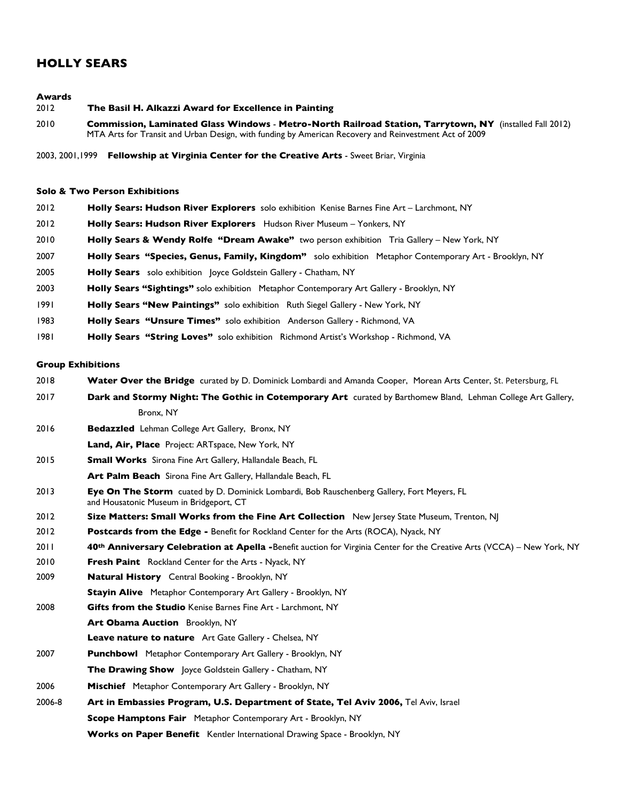# **HOLLY SEARS**

#### **Awards**

- 2012 **The Basil H. Alkazzi Award for Excellence in Painting** 2010 **Commission, Laminated Glass Windows** - **Metro-North Railroad Station, Tarrytown, NY** (installed Fall 2012) MTA Arts for Transit and Urban Design, with funding by American Recovery and Reinvestment Act of 2009
- 2003, 2001,1999 **Fellowship at Virginia Center for the Creative Arts** Sweet Briar, Virginia

#### **Solo & Two Person Exhibitions**

 **Holly Sears: Hudson River Explorers** solo exhibition Kenise Barnes Fine Art – Larchmont, NY **Holly Sears: Hudson River Explorers** Hudson River Museum – Yonkers, NY **Holly Sears & Wendy Rolfe "Dream Awake"** two person exhibition Tria Gallery – New York, NY **Holly Sears "Species, Genus, Family, Kingdom"** solo exhibition Metaphor Contemporary Art - Brooklyn, NY **Holly Sears** solo exhibition Joyce Goldstein Gallery - Chatham, NY **Holly Sears "Sightings"** solo exhibition Metaphor Contemporary Art Gallery - Brooklyn, NY **Holly Sears "New Paintings"** solo exhibition Ruth Siegel Gallery - New York, NY **Holly Sears "Unsure Times"** solo exhibition Anderson Gallery - Richmond, VA **Holly Sears "String Loves"** solo exhibition Richmond Artist's Workshop - Richmond, VA

### **Group Exhibitions**

- 2018 **Water Over the Bridge** curated by D. Dominick Lombardi and Amanda Cooper, Morean Arts Center, St. Petersburg, FL
- 2017 **Dark and Stormy Night: The Gothic in Cotemporary Art** curated by Barthomew Bland,Lehman College Art Gallery, Bronx, NY
- 2016 **Bedazzled** Lehman College Art Gallery, Bronx, NY
- **Land, Air, Place** Project: ARTspace, New York, NY
- 2015 **Small Works** Sirona Fine Art Gallery, Hallandale Beach, FL
- **Art Palm Beach** Sirona Fine Art Gallery, Hallandale Beach, FL
- 2013 **Eye On The Storm** cuated by D. Dominick Lombardi, Bob Rauschenberg Gallery, Fort Meyers, FL and Housatonic Museum in Bridgeport, CT
- 2012 **Size Matters: Small Works from the Fine Art Collection** New Jersey State Museum, Trenton, NJ
- 2012 **Postcards from the Edge -** Benefit for Rockland Center for the Arts (ROCA), Nyack, NY
- 2011 **40th Anniversary Celebration at Apella -**Benefit auction for Virginia Center for the Creative Arts (VCCA) New York, NY
- 2010 **Fresh Paint** Rockland Center for the Arts Nyack, NY
- 2009 **Natural History** Central Booking Brooklyn, NY
- **Stayin Alive** Metaphor Contemporary Art Gallery Brooklyn, NY
- 2008 **Gifts from the Studio** Kenise Barnes Fine Art Larchmont, NY
	- **Art Obama Auction** Brooklyn, NY
		- **Leave nature to nature** Art Gate Gallery Chelsea, NY
- 2007 **Punchbowl** Metaphor Contemporary Art Gallery Brooklyn, NY
	- **The Drawing Show** Joyce Goldstein Gallery Chatham, NY
- 2006 **Mischief** Metaphor Contemporary Art Gallery Brooklyn, NY
- 2006-8 **Art in Embassies Program, U.S. Department of State, Tel Aviv 2006,** Tel Aviv, Israel **Scope Hamptons Fair** Metaphor Contemporary Art - Brooklyn, NY
	- **Works on Paper Benefit** Kentler International Drawing Space Brooklyn, NY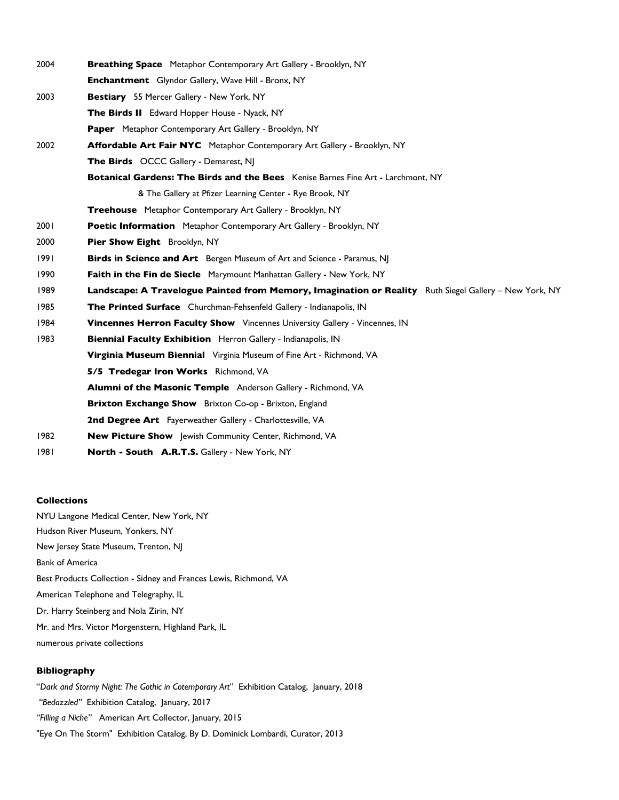| 2004 | Breathing Space Metaphor Contemporary Art Gallery - Brooklyn, NY                                       |
|------|--------------------------------------------------------------------------------------------------------|
|      | <b>Enchantment</b> Glyndor Gallery, Wave Hill - Bronx, NY                                              |
| 2003 | Bestiary 55 Mercer Gallery - New York, NY                                                              |
|      | The Birds II Edward Hopper House - Nyack, NY                                                           |
|      | Paper Metaphor Contemporary Art Gallery - Brooklyn, NY                                                 |
| 2002 | <b>Affordable Art Fair NYC</b> Metaphor Contemporary Art Gallery - Brooklyn, NY                        |
|      | <b>The Birds</b> OCCC Gallery - Demarest, NJ                                                           |
|      | Botanical Gardens: The Birds and the Bees Kenise Barnes Fine Art - Larchmont, NY                       |
|      | & The Gallery at Pfizer Learning Center - Rye Brook, NY                                                |
|      | Treehouse Metaphor Contemporary Art Gallery - Brooklyn, NY                                             |
| 2001 | Poetic Information Metaphor Contemporary Art Gallery - Brooklyn, NY                                    |
| 2000 | Pier Show Eight Brooklyn, NY                                                                           |
| 1991 | <b>Birds in Science and Art</b> Bergen Museum of Art and Science - Paramus, NJ                         |
| 1990 | Faith in the Fin de Siecle Marymount Manhattan Gallery - New York, NY                                  |
| 1989 | Landscape: A Travelogue Painted from Memory, Imagination or Reality Ruth Siegel Gallery – New York, NY |
| 1985 | The Printed Surface Churchman-Fehsenfeld Gallery - Indianapolis, IN                                    |
| 1984 | <b>Vincennes Herron Faculty Show</b> Vincennes University Gallery - Vincennes, IN                      |
| 1983 | Biennial Faculty Exhibition Herron Gallery - Indianapolis, IN                                          |
|      | Virginia Museum Biennial Virginia Museum of Fine Art - Richmond, VA                                    |
|      | 5/5 Tredegar Iron Works Richmond, VA                                                                   |
|      | <b>Alumni of the Masonic Temple</b> Anderson Gallery - Richmond, VA                                    |
|      | Brixton Exchange Show Brixton Co-op - Brixton, England                                                 |
|      | 2nd Degree Art Fayerweather Gallery - Charlottesville, VA                                              |
| 1982 | New Picture Show Jewish Community Center, Richmond, VA                                                 |
| 1981 | North - South A.R.T.S. Gallery - New York, NY                                                          |

## **Collections**

NYU Langone Medical Center, New York, NY Hudson River Museum, Yonkers, NY New Jersey State Museum, Trenton, NJ Bank of America Best Products Collection - Sidney and Frances Lewis, Richmond, VA American Telephone and Telegraphy, IL Dr. Harry Steinberg and Nola Zirin, NY Mr. and Mrs. Victor Morgenstern, Highland Park, IL numerous private collections

#### **Bibliography**

"*Dark and Stormy Night: The Gothic in Cotemporary Art*" Exhibition Catalog, January, 2018  *"Bedazzled"* Exhibition Catalog, January, 2017 *"Filling a Niche"* American Art Collector, January, 2015 "Eye On The Storm" Exhibition Catalog, By D. Dominick Lombardi, Curator, 2013